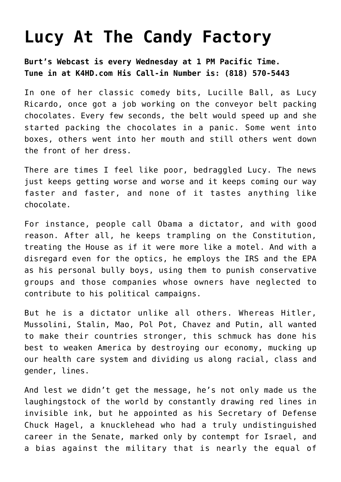## **[Lucy At The Candy Factory](https://bernardgoldberg.com/lucy-candy-factory/)**

**Burt's Webcast is every Wednesday at 1 PM Pacific Time. Tune in at K4HD.com His Call-in Number is: (818) 570-5443**

In one of her classic comedy bits, Lucille Ball, as Lucy Ricardo, once got a job working on the conveyor belt packing chocolates. Every few seconds, the belt would speed up and she started packing the chocolates in a panic. Some went into boxes, others went into her mouth and still others went down the front of her dress.

There are times I feel like poor, bedraggled Lucy. The news just keeps getting worse and worse and it keeps coming our way faster and faster, and none of it tastes anything like chocolate.

For instance, people call Obama a dictator, and with good reason. After all, he keeps trampling on the Constitution, treating the House as if it were more like a motel. And with a disregard even for the optics, he employs the IRS and the EPA as his personal bully boys, using them to punish conservative groups and those companies whose owners have neglected to contribute to his political campaigns.

But he is a dictator unlike all others. Whereas Hitler, Mussolini, Stalin, Mao, Pol Pot, Chavez and Putin, all wanted to make their countries stronger, this schmuck has done his best to weaken America by destroying our economy, mucking up our health care system and dividing us along racial, class and gender, lines.

And lest we didn't get the message, he's not only made us the laughingstock of the world by constantly drawing red lines in invisible ink, but he appointed as his Secretary of Defense Chuck Hagel, a knucklehead who had a truly undistinguished career in the Senate, marked only by contempt for Israel, and a bias against the military that is nearly the equal of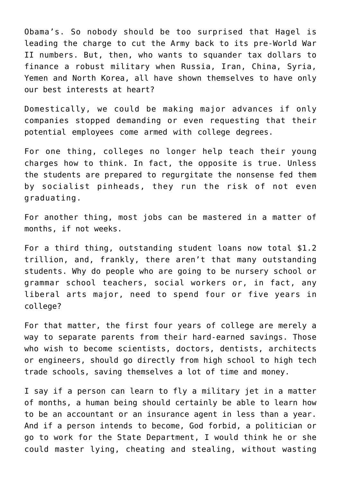Obama's. So nobody should be too surprised that Hagel is leading the charge to cut the Army back to its pre-World War II numbers. But, then, who wants to squander tax dollars to finance a robust military when Russia, Iran, China, Syria, Yemen and North Korea, all have shown themselves to have only our best interests at heart?

Domestically, we could be making major advances if only companies stopped demanding or even requesting that their potential employees come armed with college degrees.

For one thing, colleges no longer help teach their young charges how to think. In fact, the opposite is true. Unless the students are prepared to regurgitate the nonsense fed them by socialist pinheads, they run the risk of not even graduating.

For another thing, most jobs can be mastered in a matter of months, if not weeks.

For a third thing, outstanding student loans now total \$1.2 trillion, and, frankly, there aren't that many outstanding students. Why do people who are going to be nursery school or grammar school teachers, social workers or, in fact, any liberal arts major, need to spend four or five years in college?

For that matter, the first four years of college are merely a way to separate parents from their hard-earned savings. Those who wish to become scientists, doctors, dentists, architects or engineers, should go directly from high school to high tech trade schools, saving themselves a lot of time and money.

I say if a person can learn to fly a military jet in a matter of months, a human being should certainly be able to learn how to be an accountant or an insurance agent in less than a year. And if a person intends to become, God forbid, a politician or go to work for the State Department, I would think he or she could master lying, cheating and stealing, without wasting